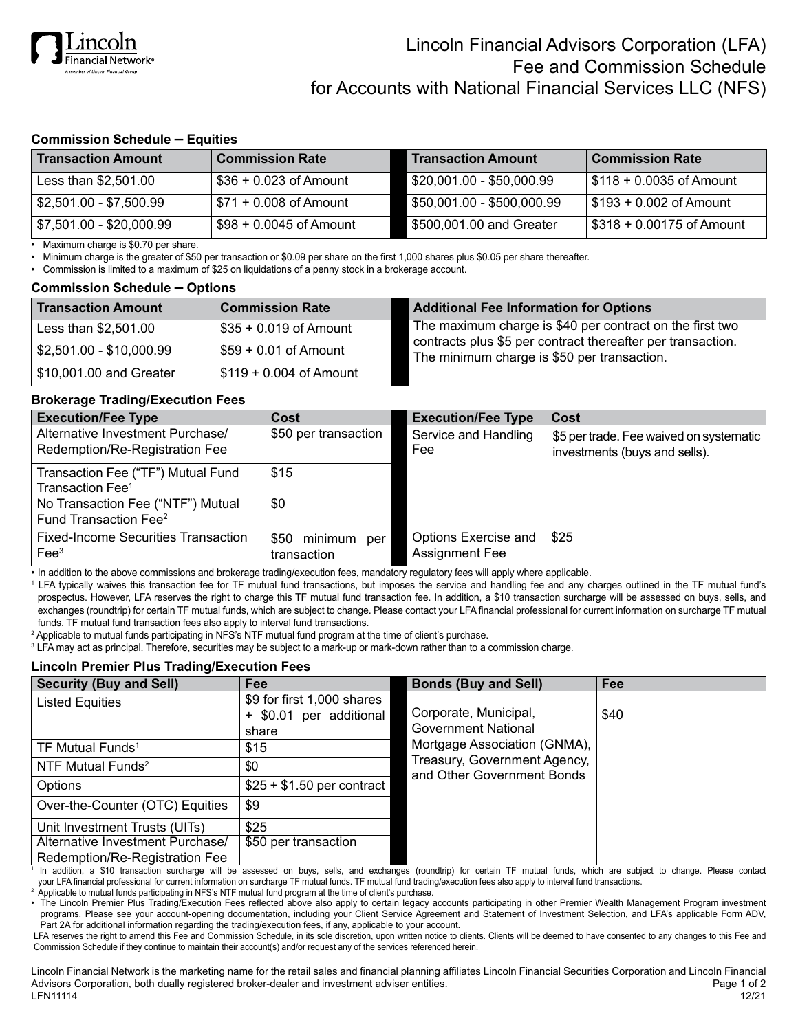

## **Commission Schedule – Equities**

| <b>Transaction Amount</b> | <b>Commission Rate</b>                | <b>Transaction Amount</b>  | <b>Commission Rate</b>    |
|---------------------------|---------------------------------------|----------------------------|---------------------------|
| Less than $$2,501.00$     | $$36 + 0.023$ of Amount               | \$20,001.00 - \$50,000.99  | \$118 + 0.0035 of Amount  |
| $$2,501.00 - $7,500.99$   | l \$71 + 0.008 of Amount              | \$50,001.00 - \$500,000.99 | \$193 + 0.002 of Amount   |
| \$7,501.00 - \$20,000.99  | $\frac{1}{2}$ \$98 + 0.0045 of Amount | \$500,001.00 and Greater   | \$318 + 0.00175 of Amount |

• Maximum charge is \$0.70 per share.

• Minimum charge is the greater of \$50 per transaction or \$0.09 per share on the first 1,000 shares plus \$0.05 per share thereafter.

• Commission is limited to a maximum of \$25 on liquidations of a penny stock in a brokerage account.

#### **Commission Schedule – Options**

| <b>Transaction Amount</b> | <b>Commission Rate</b>   | <b>Additional Fee Information for Options</b>                                                                           |
|---------------------------|--------------------------|-------------------------------------------------------------------------------------------------------------------------|
| Less than \$2,501.00      | $$35 + 0.019$ of Amount  | The maximum charge is \$40 per contract on the first two<br>contracts plus \$5 per contract thereafter per transaction. |
| \$2,501.00 - \$10,000.99  | $$59 + 0.01$ of Amount   | The minimum charge is \$50 per transaction.                                                                             |
| \$10,001.00 and Greater   | $$119 + 0.004$ of Amount |                                                                                                                         |

#### **Brokerage Trading/Execution Fees**

| <b>Execution/Fee Type</b>                                              | Cost                            | <b>Execution/Fee Type</b>                     | Cost                                                                     |
|------------------------------------------------------------------------|---------------------------------|-----------------------------------------------|--------------------------------------------------------------------------|
| Alternative Investment Purchase/<br>Redemption/Re-Registration Fee     | \$50 per transaction            | Service and Handling<br>Fee                   | \$5 per trade. Fee waived on systematic<br>investments (buys and sells). |
| Transaction Fee ("TF") Mutual Fund<br>Transaction Fee <sup>1</sup>     | \$15                            |                                               |                                                                          |
| No Transaction Fee ("NTF") Mutual<br>Fund Transaction Fee <sup>2</sup> | \$0                             |                                               |                                                                          |
| <b>Fixed-Income Securities Transaction</b><br>$\text{Fe}e^3$           | \$50 minimum per<br>transaction | Options Exercise and<br><b>Assignment Fee</b> | \$25                                                                     |

• In addition to the above commissions and brokerage trading/execution fees, mandatory regulatory fees will apply where applicable.

<sup>1</sup> LFA typically waives this transaction fee for TF mutual fund transactions, but imposes the service and handling fee and any charges outlined in the TF mutual fund's prospectus. However, LFA reserves the right to charge this TF mutual fund transaction fee. In addition, a \$10 transaction surcharge will be assessed on buys, sells, and exchanges (roundtrip) for certain TF mutual funds, which are subject to change. Please contact your LFA financial professional for current information on surcharge TF mutual funds. TF mutual fund transaction fees also apply to interval fund transactions.

<sup>2</sup> Applicable to mutual funds participating in NFS's NTF mutual fund program at the time of client's purchase.

<sup>3</sup> LFA may act as principal. Therefore, securities may be subject to a mark-up or mark-down rather than to a commission charge.

### **Lincoln Premier Plus Trading/Execution Fees**

| <b>Security (Buy and Sell)</b>   | Fee                                                            | <b>Bonds (Buy and Sell)</b>                                | Fee  |
|----------------------------------|----------------------------------------------------------------|------------------------------------------------------------|------|
| <b>Listed Equities</b>           | \$9 for first 1,000 shares<br>+ \$0.01 per additional<br>share | Corporate, Municipal,<br><b>Government National</b>        | \$40 |
| TF Mutual Funds <sup>1</sup>     | \$15                                                           | Mortgage Association (GNMA),                               |      |
| NTF Mutual Funds <sup>2</sup>    | \$0                                                            | Treasury, Government Agency,<br>and Other Government Bonds |      |
| Options                          | $$25 + $1.50$ per contract                                     |                                                            |      |
| Over-the-Counter (OTC) Equities  | \$9                                                            |                                                            |      |
| Unit Investment Trusts (UITs)    | \$25                                                           |                                                            |      |
| Alternative Investment Purchase/ | \$50 per transaction                                           |                                                            |      |
| Redemption/Re-Registration Fee   |                                                                |                                                            |      |

<sup>1</sup> In addition, a \$10 transaction surcharge will be assessed on buys, sells, and exchanges (roundtrip) for certain TF mutual funds, which are subject to change. Please contact your LFA financial professional for current information on surcharge TF mutual funds. TF mutual fund trading/execution fees also apply to interval fund transactions.

 $^{\rm 2}$  Applicable to mutual funds participating in NFS's NTF mutual fund program at the time of client's purchase.

• The Lincoln Premier Plus Trading/Execution Fees reflected above also apply to certain legacy accounts participating in other Premier Wealth Management Program investment programs. Please see your account-opening documentation, including your Client Service Agreement and Statement of Investment Selection, and LFA's applicable Form ADV, Part 2A for additional information regarding the trading/execution fees, if any, applicable to your account.

LFA reserves the right to amend this Fee and Commission Schedule, in its sole discretion, upon written notice to clients. Clients will be deemed to have consented to any changes to this Fee and Commission Schedule if they continue to maintain their account(s) and/or request any of the services referenced herein.

Lincoln Financial Network is the marketing name for the retail sales and financial planning affiliates Lincoln Financial Securities Corporation and Lincoln Financial Advisors Corporation, both dually registered broker-dealer and investment adviser entities. **Page 1 of 2** and 2 of 2 LFN11114 12/21